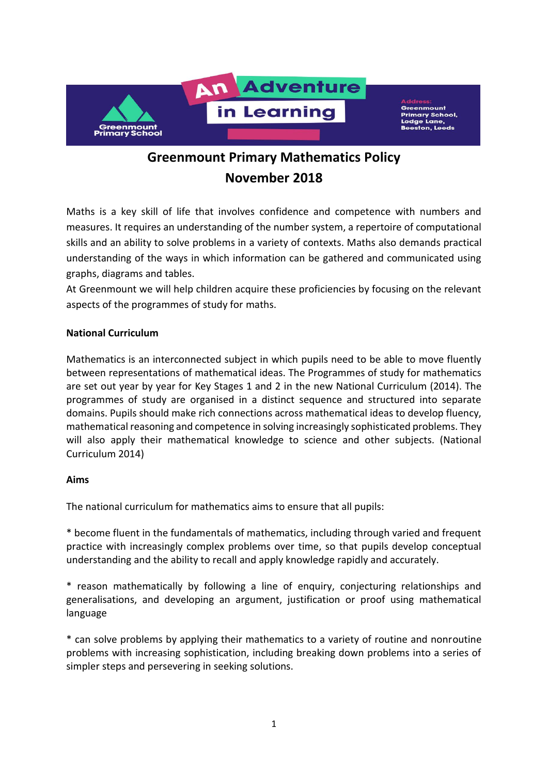

# **Greenmount Primary Mathematics Policy November 2018**

Maths is a key skill of life that involves confidence and competence with numbers and measures. It requires an understanding of the number system, a repertoire of computational skills and an ability to solve problems in a variety of contexts. Maths also demands practical understanding of the ways in which information can be gathered and communicated using graphs, diagrams and tables.

At Greenmount we will help children acquire these proficiencies by focusing on the relevant aspects of the programmes of study for maths.

## **National Curriculum**

Mathematics is an interconnected subject in which pupils need to be able to move fluently between representations of mathematical ideas. The Programmes of study for mathematics are set out year by year for Key Stages 1 and 2 in the new National Curriculum (2014). The programmes of study are organised in a distinct sequence and structured into separate domains. Pupils should make rich connections across mathematical ideas to develop fluency, mathematical reasoning and competence in solving increasingly sophisticated problems. They will also apply their mathematical knowledge to science and other subjects. (National Curriculum 2014)

#### **Aims**

The national curriculum for mathematics aims to ensure that all pupils:

\* become fluent in the fundamentals of mathematics, including through varied and frequent practice with increasingly complex problems over time, so that pupils develop conceptual understanding and the ability to recall and apply knowledge rapidly and accurately.

\* reason mathematically by following a line of enquiry, conjecturing relationships and generalisations, and developing an argument, justification or proof using mathematical language

\* can solve problems by applying their mathematics to a variety of routine and nonroutine problems with increasing sophistication, including breaking down problems into a series of simpler steps and persevering in seeking solutions.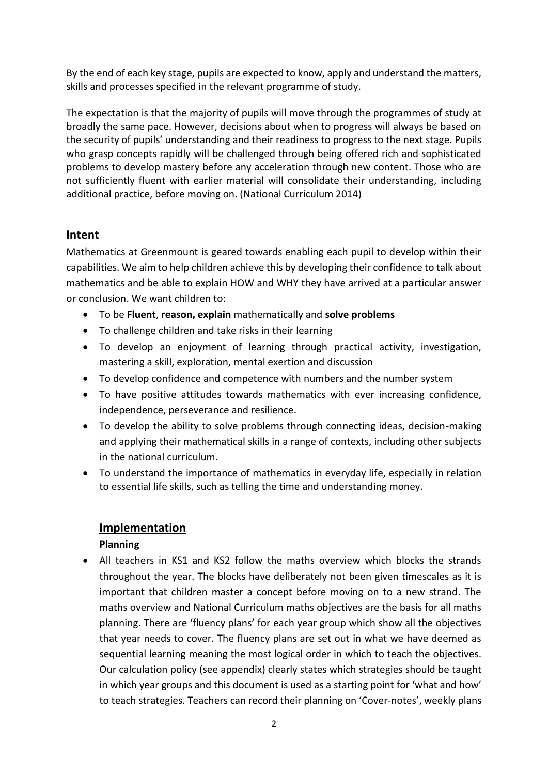By the end of each key stage, pupils are expected to know, apply and understand the matters, skills and processes specified in the relevant programme of study.

The expectation is that the majority of pupils will move through the programmes of study at broadly the same pace. However, decisions about when to progress will always be based on the security of pupils' understanding and their readiness to progress to the next stage. Pupils who grasp concepts rapidly will be challenged through being offered rich and sophisticated problems to develop mastery before any acceleration through new content. Those who are not sufficiently fluent with earlier material will consolidate their understanding, including additional practice, before moving on. (National Curriculum 2014)

# **Intent**

Mathematics at Greenmount is geared towards enabling each pupil to develop within their capabilities. We aim to help children achieve this by developing their confidence to talk about mathematics and be able to explain HOW and WHY they have arrived at a particular answer or conclusion. We want children to:

- To be **Fluent**, **reason, explain** mathematically and **solve problems**
- To challenge children and take risks in their learning
- To develop an enjoyment of learning through practical activity, investigation, mastering a skill, exploration, mental exertion and discussion
- To develop confidence and competence with numbers and the number system
- To have positive attitudes towards mathematics with ever increasing confidence, independence, perseverance and resilience.
- To develop the ability to solve problems through connecting ideas, decision-making and applying their mathematical skills in a range of contexts, including other subjects in the national curriculum.
- To understand the importance of mathematics in everyday life, especially in relation to essential life skills, such as telling the time and understanding money.

# **Implementation**

# **Planning**

 All teachers in KS1 and KS2 follow the maths overview which blocks the strands throughout the year. The blocks have deliberately not been given timescales as it is important that children master a concept before moving on to a new strand. The maths overview and National Curriculum maths objectives are the basis for all maths planning. There are 'fluency plans' for each year group which show all the objectives that year needs to cover. The fluency plans are set out in what we have deemed as sequential learning meaning the most logical order in which to teach the objectives. Our calculation policy (see appendix) clearly states which strategies should be taught in which year groups and this document is used as a starting point for 'what and how' to teach strategies. Teachers can record their planning on 'Cover-notes', weekly plans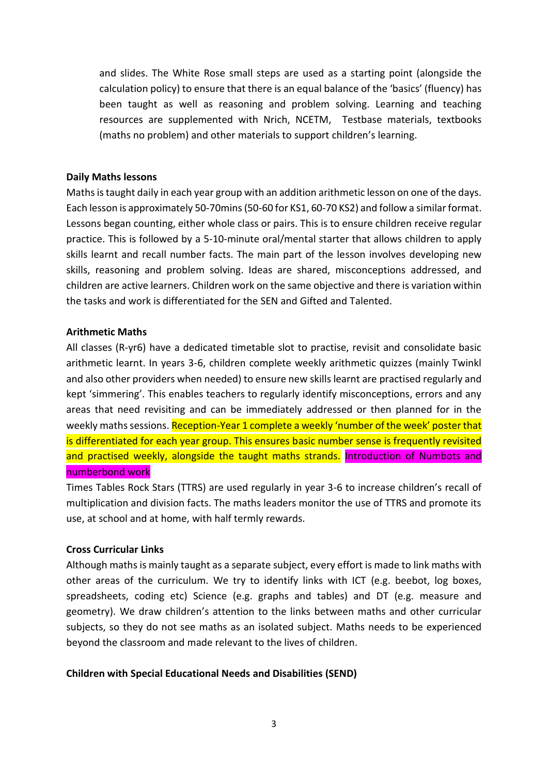and slides. The White Rose small steps are used as a starting point (alongside the calculation policy) to ensure that there is an equal balance of the 'basics' (fluency) has been taught as well as reasoning and problem solving. Learning and teaching resources are supplemented with Nrich, NCETM, Testbase materials, textbooks (maths no problem) and other materials to support children's learning.

#### **Daily Maths lessons**

Maths is taught daily in each year group with an addition arithmetic lesson on one of the days. Each lesson is approximately 50-70mins (50-60 for KS1, 60-70 KS2) and follow a similar format. Lessons began counting, either whole class or pairs. This is to ensure children receive regular practice. This is followed by a 5-10-minute oral/mental starter that allows children to apply skills learnt and recall number facts. The main part of the lesson involves developing new skills, reasoning and problem solving. Ideas are shared, misconceptions addressed, and children are active learners. Children work on the same objective and there is variation within the tasks and work is differentiated for the SEN and Gifted and Talented.

#### **Arithmetic Maths**

All classes (R-yr6) have a dedicated timetable slot to practise, revisit and consolidate basic arithmetic learnt. In years 3-6, children complete weekly arithmetic quizzes (mainly Twinkl and also other providers when needed) to ensure new skills learnt are practised regularly and kept 'simmering'. This enables teachers to regularly identify misconceptions, errors and any areas that need revisiting and can be immediately addressed or then planned for in the weekly maths sessions. Reception-Year 1 complete a weekly 'number of the week' poster that is differentiated for each year group. This ensures basic number sense is frequently revisited and practised weekly, alongside the taught maths strands. Introduction of Numbots and numberbond work

Times Tables Rock Stars (TTRS) are used regularly in year 3-6 to increase children's recall of multiplication and division facts. The maths leaders monitor the use of TTRS and promote its use, at school and at home, with half termly rewards.

### **Cross Curricular Links**

Although maths is mainly taught as a separate subject, every effort is made to link maths with other areas of the curriculum. We try to identify links with ICT (e.g. beebot, log boxes, spreadsheets, coding etc) Science (e.g. graphs and tables) and DT (e.g. measure and geometry). We draw children's attention to the links between maths and other curricular subjects, so they do not see maths as an isolated subject. Maths needs to be experienced beyond the classroom and made relevant to the lives of children.

#### **Children with Special Educational Needs and Disabilities (SEND)**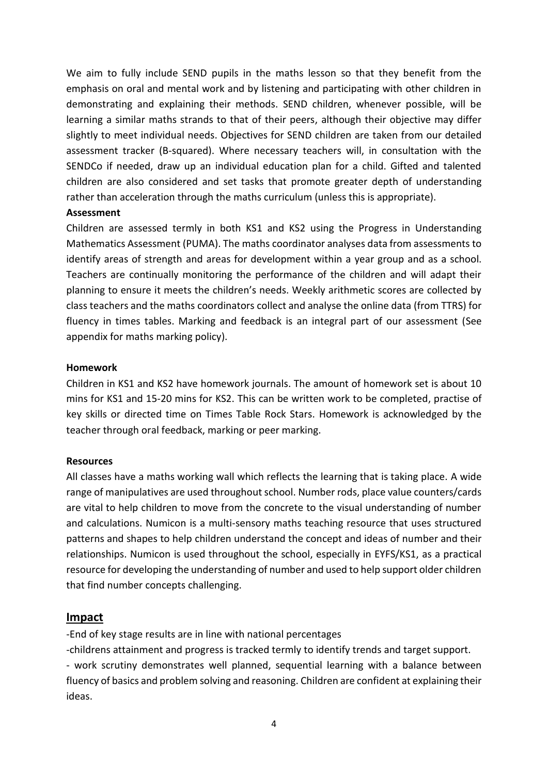We aim to fully include SEND pupils in the maths lesson so that they benefit from the emphasis on oral and mental work and by listening and participating with other children in demonstrating and explaining their methods. SEND children, whenever possible, will be learning a similar maths strands to that of their peers, although their objective may differ slightly to meet individual needs. Objectives for SEND children are taken from our detailed assessment tracker (B-squared). Where necessary teachers will, in consultation with the SENDCo if needed, draw up an individual education plan for a child. Gifted and talented children are also considered and set tasks that promote greater depth of understanding rather than acceleration through the maths curriculum (unless this is appropriate).

#### **Assessment**

Children are assessed termly in both KS1 and KS2 using the Progress in Understanding Mathematics Assessment (PUMA). The maths coordinator analyses data from assessments to identify areas of strength and areas for development within a year group and as a school. Teachers are continually monitoring the performance of the children and will adapt their planning to ensure it meets the children's needs. Weekly arithmetic scores are collected by class teachers and the maths coordinators collect and analyse the online data (from TTRS) for fluency in times tables. Marking and feedback is an integral part of our assessment (See appendix for maths marking policy).

## **Homework**

Children in KS1 and KS2 have homework journals. The amount of homework set is about 10 mins for KS1 and 15-20 mins for KS2. This can be written work to be completed, practise of key skills or directed time on Times Table Rock Stars. Homework is acknowledged by the teacher through oral feedback, marking or peer marking.

## **Resources**

All classes have a maths working wall which reflects the learning that is taking place. A wide range of manipulatives are used throughout school. Number rods, place value counters/cards are vital to help children to move from the concrete to the visual understanding of number and calculations. Numicon is a multi-sensory maths teaching resource that uses structured patterns and shapes to help children understand the concept and ideas of number and their relationships. Numicon is used throughout the school, especially in EYFS/KS1, as a practical resource for developing the understanding of number and used to help support older children that find number concepts challenging.

# **Impact**

-End of key stage results are in line with national percentages

-childrens attainment and progress is tracked termly to identify trends and target support.

- work scrutiny demonstrates well planned, sequential learning with a balance between fluency of basics and problem solving and reasoning. Children are confident at explaining their ideas.